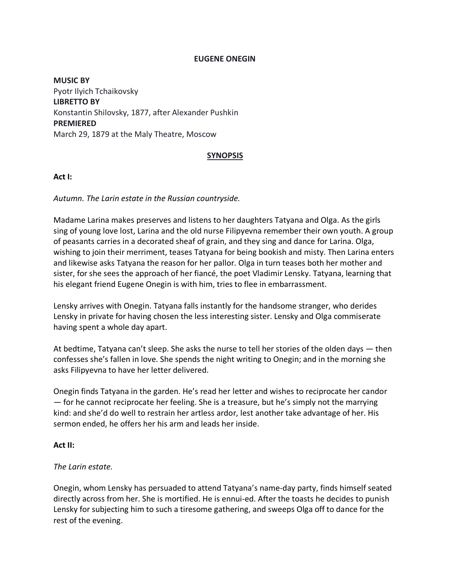#### **EUGENE ONEGIN**

**MUSIC BY** Pyotr Ilyich Tchaikovsky **LIBRETTO BY** Konstantin Shilovsky, 1877, after Alexander Pushkin **PREMIERED** March 29, 1879 at the Maly Theatre, Moscow

## **SYNOPSIS**

### **Act I:**

*Autumn. The Larin estate in the Russian countryside.*

Madame Larina makes preserves and listens to her daughters Tatyana and Olga. As the girls sing of young love lost, Larina and the old nurse Filipyevna remember their own youth. A group of peasants carries in a decorated sheaf of grain, and they sing and dance for Larina. Olga, wishing to join their merriment, teases Tatyana for being bookish and misty. Then Larina enters and likewise asks Tatyana the reason for her pallor. Olga in turn teases both her mother and sister, for she sees the approach of her fiancé, the poet Vladimir Lensky. Tatyana, learning that his elegant friend Eugene Onegin is with him, tries to flee in embarrassment.

Lensky arrives with Onegin. Tatyana falls instantly for the handsome stranger, who derides Lensky in private for having chosen the less interesting sister. Lensky and Olga commiserate having spent a whole day apart.

At bedtime, Tatyana can't sleep. She asks the nurse to tell her stories of the olden days — then confesses she's fallen in love. She spends the night writing to Onegin; and in the morning she asks Filipyevna to have her letter delivered.

Onegin finds Tatyana in the garden. He's read her letter and wishes to reciprocate her candor — for he cannot reciprocate her feeling. She is a treasure, but he's simply not the marrying kind: and she'd do well to restrain her artless ardor, lest another take advantage of her. His sermon ended, he offers her his arm and leads her inside.

#### **Act II:**

## *The Larin estate.*

Onegin, whom Lensky has persuaded to attend Tatyana's name-day party, finds himself seated directly across from her. She is mortified. He is ennui-ed. After the toasts he decides to punish Lensky for subjecting him to such a tiresome gathering, and sweeps Olga off to dance for the rest of the evening.